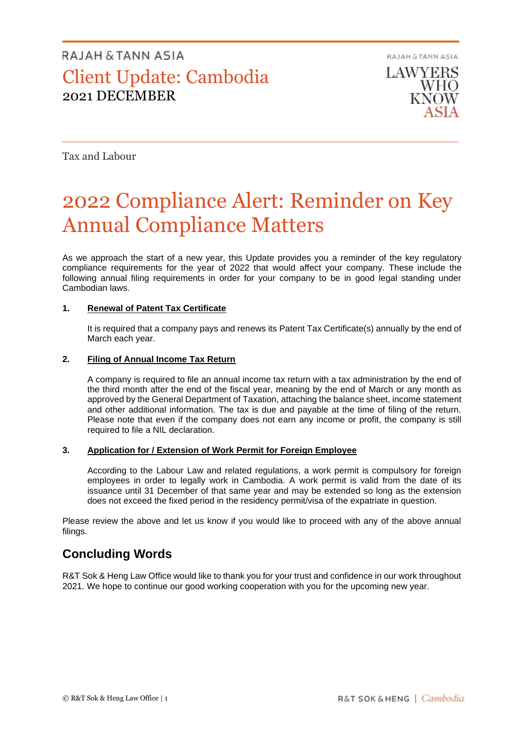## RAJAH & TANN ASIA Client Update: Cambodia 2021 DECEMBER

RAJAH & TANN ASIA

**LAWYERS** WHO

Tax and Labour

# 2022 Compliance Alert: Reminder on Key Annual Compliance Matters

As we approach the start of a new year, this Update provides you a reminder of the key regulatory compliance requirements for the year of 2022 that would affect your company. These include the following annual filing requirements in order for your company to be in good legal standing under Cambodian laws.

#### **1. Renewal of Patent Tax Certificate**

It is required that a company pays and renews its Patent Tax Certificate(s) annually by the end of March each year.

#### **2. Filing of Annual Income Tax Return**

A company is required to file an annual income tax return with a tax administration by the end of the third month after the end of the fiscal year, meaning by the end of March or any month as approved by the General Department of Taxation, attaching the balance sheet, income statement and other additional information. The tax is due and payable at the time of filing of the return. Please note that even if the company does not earn any income or profit, the company is still required to file a NIL declaration.

#### **3. Application for / Extension of Work Permit for Foreign Employee**

According to the Labour Law and related regulations, a work permit is compulsory for foreign employees in order to legally work in Cambodia. A work permit is valid from the date of its issuance until 31 December of that same year and may be extended so long as the extension does not exceed the fixed period in the residency permit/visa of the expatriate in question.

Please review the above and let us know if you would like to proceed with any of the above annual filings.

### **Concluding Words**

R&T Sok & Heng Law Office would like to thank you for your trust and confidence in our work throughout 2021. We hope to continue our good working cooperation with you for the upcoming new year.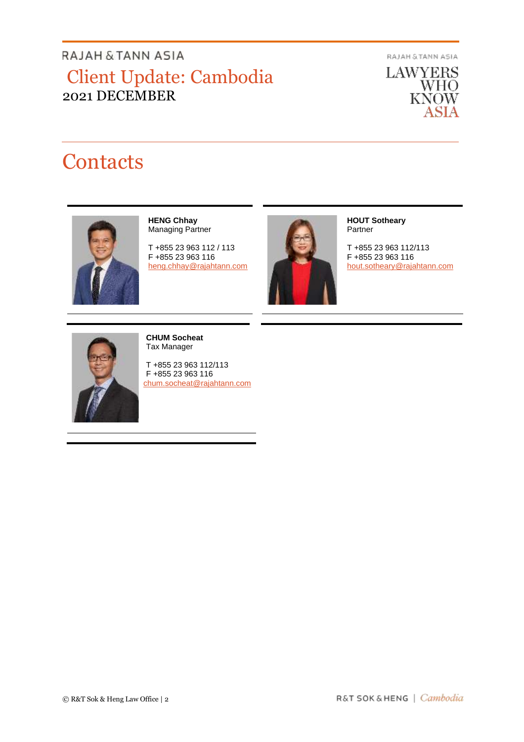## RAJAH & TANN ASIA Client Update: Cambodia 2021 DECEMBER

RAJAH & TANN ASIA

**LAWYERS** WHO<br>KNOW ASIA

# **Contacts**



**HENG Chhay** Managing Partner

T +855 23 963 112 / 113 F +855 23 963 116 [heng.chhay@rajahtann.com](mailto:heng.chhay@rajahtann.com)



**HOUT Sotheary** Partner

T +855 23 963 112/113 F +855 23 963 116 [hout.sotheary@rajahtann.com](mailto:hout.sotheary@rajahtann.com)



**CHUM Socheat** Tax Manager

T +855 23 963 112/113 F +855 23 963 116 [chum.socheat@rajahtann.com](mailto:chum.socheat@rajahtann.com)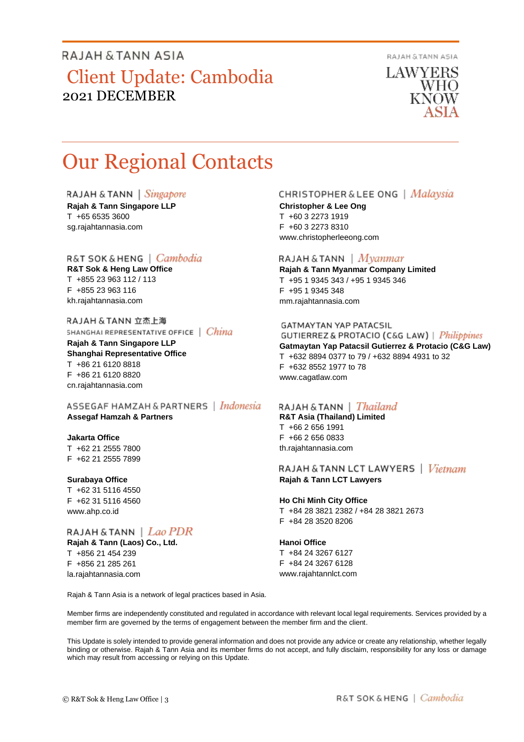### RAJAH & TANN ASIA

## Client Update: Cambodia 2021 DECEMBER

RAJAH & TANN ASIA

**LAWYERS** WHO KNOW

# Our Regional Contacts

RAJAH & TANN | Singapore

**Rajah & Tann Singapore LLP** T +65 6535 3600 sg.rajahtannasia.com

### R&T SOK&HENG | Cambodia

**R&T Sok & Heng Law Office** T +855 23 963 112 / 113 F +855 23 963 116 kh.rajahtannasia.com

RAJAH & TANN 立杰上海 SHANGHAI REPRESENTATIVE OFFICE | China

**Rajah & Tann Singapore LLP Shanghai Representative Office** T +86 21 6120 8818 F +86 21 6120 8820 cn.rajahtannasia.com

ASSEGAF HAMZAH & PARTNERS | Indonesia **Assegaf Hamzah & Partners**

#### **Jakarta Office**

T +62 21 2555 7800 F +62 21 2555 7899

#### **Surabaya Office**

T +62 31 5116 4550 F +62 31 5116 4560 www.ahp.co.id

#### RAJAH & TANN  $\mid$  Lao PDR

**Rajah & Tann (Laos) Co., Ltd.** T +856 21 454 239 F +856 21 285 261 la.rajahtannasia.com

#### CHRISTOPHER & LEE ONG | Malaysia

**Christopher & Lee Ong** T +60 3 2273 1919 F +60 3 2273 8310 www.christopherleeong.com

#### RAJAH & TANN  $\mid$  *Myanmar*

**Rajah & Tann Myanmar Company Limited** T +95 1 9345 343 / +95 1 9345 346 F +95 1 9345 348 mm.rajahtannasia.com

#### **GATMAYTAN YAP PATACSIL**

**GUTIERREZ & PROTACIO (C&G LAW)** | *Philippines* **Gatmaytan Yap Patacsil Gutierrez & Protacio (C&G Law)**  T +632 8894 0377 to 79 / +632 8894 4931 to 32 F +632 8552 1977 to 78 www.cagatlaw.com

### RAJAH & TANN | *Thailand*

**R&T Asia (Thailand) Limited** T +66 2 656 1991 F +66 2 656 0833 th.rajahtannasia.com

#### RAJAH & TANN LCT LAWYERS | Vietnam **Rajah & Tann LCT Lawyers**

#### **Ho Chi Minh City Office**

T +84 28 3821 2382 / +84 28 3821 2673 F +84 28 3520 8206

#### **Hanoi Office**

T +84 24 3267 6127 F +84 24 3267 6128 www.rajahtannlct.com

Rajah & Tann Asia is a network of legal practices based in Asia.

Member firms are independently constituted and regulated in accordance with relevant local legal requirements. Services provided by a member firm are governed by the terms of engagement between the member firm and the client.

This Update is solely intended to provide general information and does not provide any advice or create any relationship, whether legally binding or otherwise. Rajah & Tann Asia and its member firms do not accept, and fully disclaim, responsibility for any loss or damage which may result from accessing or relying on this Update.